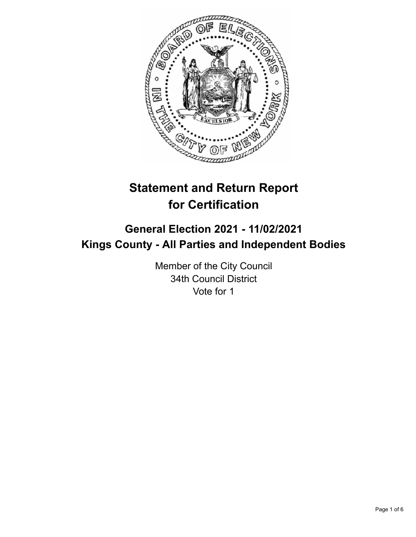

# **Statement and Return Report for Certification**

## **General Election 2021 - 11/02/2021 Kings County - All Parties and Independent Bodies**

Member of the City Council 34th Council District Vote for 1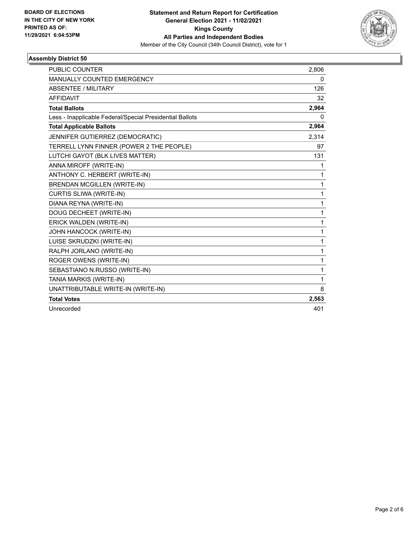

### **Assembly District 50**

| <b>PUBLIC COUNTER</b>                                    | 2,806 |
|----------------------------------------------------------|-------|
| MANUALLY COUNTED EMERGENCY                               | 0     |
| <b>ABSENTEE / MILITARY</b>                               | 126   |
| <b>AFFIDAVIT</b>                                         | 32    |
| <b>Total Ballots</b>                                     | 2,964 |
| Less - Inapplicable Federal/Special Presidential Ballots | 0     |
| <b>Total Applicable Ballots</b>                          | 2,964 |
| JENNIFER GUTIERREZ (DEMOCRATIC)                          | 2,314 |
| TERRELL LYNN FINNER (POWER 2 THE PEOPLE)                 | 97    |
| LUTCHI GAYOT (BLK LIVES MATTER)                          | 131   |
| ANNA MIROFF (WRITE-IN)                                   | 1     |
| ANTHONY C. HERBERT (WRITE-IN)                            | 1     |
| <b>BRENDAN MCGILLEN (WRITE-IN)</b>                       | 1     |
| CURTIS SLIWA (WRITE-IN)                                  | 1     |
| DIANA REYNA (WRITE-IN)                                   | 1     |
| DOUG DECHEET (WRITE-IN)                                  | 1     |
| ERICK WALDEN (WRITE-IN)                                  | 1     |
| JOHN HANCOCK (WRITE-IN)                                  | 1     |
| LUISE SKRUDZKI (WRITE-IN)                                | 1     |
| RALPH JORLANO (WRITE-IN)                                 | 1     |
| ROGER OWENS (WRITE-IN)                                   | 1     |
| SEBASTIANO N.RUSSO (WRITE-IN)                            | 1     |
| TANIA MARKIS (WRITE-IN)                                  | 1     |
| UNATTRIBUTABLE WRITE-IN (WRITE-IN)                       | 8     |
| <b>Total Votes</b>                                       | 2,563 |
| Unrecorded                                               | 401   |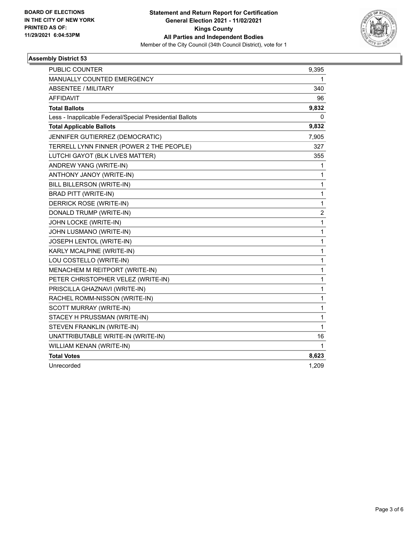

### **Assembly District 53**

| PUBLIC COUNTER                                           | 9,395          |
|----------------------------------------------------------|----------------|
| <b>MANUALLY COUNTED EMERGENCY</b>                        | 1              |
| <b>ABSENTEE / MILITARY</b>                               | 340            |
| <b>AFFIDAVIT</b>                                         | 96             |
| <b>Total Ballots</b>                                     | 9,832          |
| Less - Inapplicable Federal/Special Presidential Ballots | 0              |
| <b>Total Applicable Ballots</b>                          | 9,832          |
| JENNIFER GUTIERREZ (DEMOCRATIC)                          | 7,905          |
| TERRELL LYNN FINNER (POWER 2 THE PEOPLE)                 | 327            |
| LUTCHI GAYOT (BLK LIVES MATTER)                          | 355            |
| ANDREW YANG (WRITE-IN)                                   | 1              |
| ANTHONY JANOY (WRITE-IN)                                 | 1              |
| BILL BILLERSON (WRITE-IN)                                | 1              |
| <b>BRAD PITT (WRITE-IN)</b>                              | $\mathbf{1}$   |
| DERRICK ROSE (WRITE-IN)                                  | 1              |
| DONALD TRUMP (WRITE-IN)                                  | $\overline{c}$ |
| JOHN LOCKE (WRITE-IN)                                    | 1              |
| JOHN LUSMANO (WRITE-IN)                                  | $\mathbf{1}$   |
| JOSEPH LENTOL (WRITE-IN)                                 | $\mathbf{1}$   |
| KARLY MCALPINE (WRITE-IN)                                | 1              |
| LOU COSTELLO (WRITE-IN)                                  | $\mathbf{1}$   |
| MENACHEM M REITPORT (WRITE-IN)                           | $\mathbf{1}$   |
| PETER CHRISTOPHER VELEZ (WRITE-IN)                       | $\mathbf{1}$   |
| PRISCILLA GHAZNAVI (WRITE-IN)                            | 1              |
| RACHEL ROMM-NISSON (WRITE-IN)                            | $\mathbf{1}$   |
| SCOTT MURRAY (WRITE-IN)                                  | 1              |
| STACEY H PRUSSMAN (WRITE-IN)                             | $\mathbf 1$    |
| STEVEN FRANKLIN (WRITE-IN)                               | $\mathbf{1}$   |
| UNATTRIBUTABLE WRITE-IN (WRITE-IN)                       | 16             |
| WILLIAM KENAN (WRITE-IN)                                 | 1              |
| <b>Total Votes</b>                                       | 8,623          |
| Unrecorded                                               | 1,209          |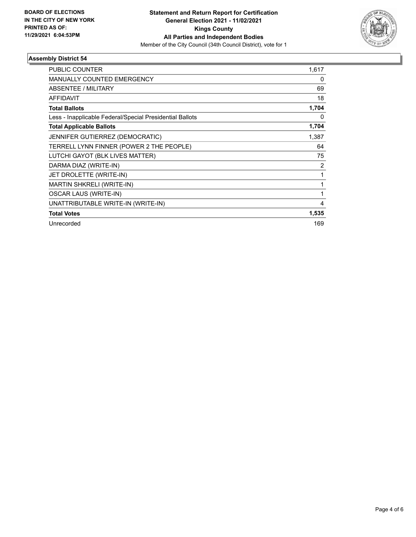

### **Assembly District 54**

| PUBLIC COUNTER                                           | 1,617 |
|----------------------------------------------------------|-------|
| MANUALLY COUNTED EMERGENCY                               | 0     |
| ABSENTEE / MILITARY                                      | 69    |
| <b>AFFIDAVIT</b>                                         | 18    |
| <b>Total Ballots</b>                                     | 1,704 |
| Less - Inapplicable Federal/Special Presidential Ballots | 0     |
| <b>Total Applicable Ballots</b>                          | 1,704 |
| JENNIFER GUTIERREZ (DEMOCRATIC)                          | 1,387 |
| TERRELL LYNN FINNER (POWER 2 THE PEOPLE)                 | 64    |
| LUTCHI GAYOT (BLK LIVES MATTER)                          | 75    |
| DARMA DIAZ (WRITE-IN)                                    | 2     |
| JET DROLETTE (WRITE-IN)                                  |       |
| MARTIN SHKRELI (WRITE-IN)                                |       |
| <b>OSCAR LAUS (WRITE-IN)</b>                             | 1     |
| UNATTRIBUTABLE WRITE-IN (WRITE-IN)                       | 4     |
| <b>Total Votes</b>                                       | 1,535 |
| Unrecorded                                               | 169   |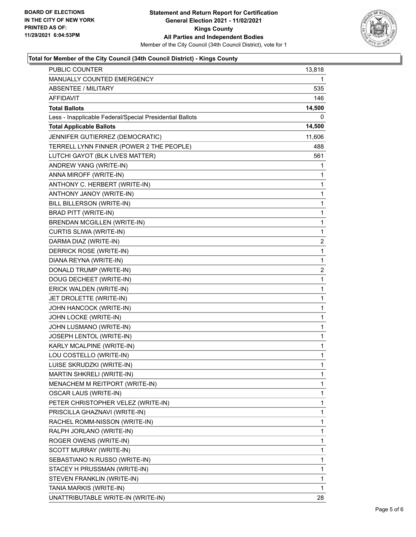

### **Total for Member of the City Council (34th Council District) - Kings County**

| <b>PUBLIC COUNTER</b>                                    | 13,818       |
|----------------------------------------------------------|--------------|
| MANUALLY COUNTED EMERGENCY                               | 1            |
| <b>ABSENTEE / MILITARY</b>                               | 535          |
| <b>AFFIDAVIT</b>                                         | 146          |
| <b>Total Ballots</b>                                     | 14,500       |
| Less - Inapplicable Federal/Special Presidential Ballots | 0            |
| <b>Total Applicable Ballots</b>                          | 14,500       |
| JENNIFER GUTIERREZ (DEMOCRATIC)                          | 11,606       |
| TERRELL LYNN FINNER (POWER 2 THE PEOPLE)                 | 488          |
| LUTCHI GAYOT (BLK LIVES MATTER)                          | 561          |
| ANDREW YANG (WRITE-IN)                                   | 1            |
| ANNA MIROFF (WRITE-IN)                                   | 1            |
| ANTHONY C. HERBERT (WRITE-IN)                            | 1            |
| ANTHONY JANOY (WRITE-IN)                                 | $\mathbf 1$  |
| BILL BILLERSON (WRITE-IN)                                | 1            |
| BRAD PITT (WRITE-IN)                                     | 1            |
| BRENDAN MCGILLEN (WRITE-IN)                              | $\mathbf 1$  |
| CURTIS SLIWA (WRITE-IN)                                  | 1            |
| DARMA DIAZ (WRITE-IN)                                    | 2            |
| DERRICK ROSE (WRITE-IN)                                  | $\mathbf 1$  |
| DIANA REYNA (WRITE-IN)                                   | $\mathbf 1$  |
| DONALD TRUMP (WRITE-IN)                                  | 2            |
| DOUG DECHEET (WRITE-IN)                                  | $\mathbf 1$  |
| ERICK WALDEN (WRITE-IN)                                  | 1            |
| JET DROLETTE (WRITE-IN)                                  | 1            |
| JOHN HANCOCK (WRITE-IN)                                  | $\mathbf 1$  |
| JOHN LOCKE (WRITE-IN)                                    | 1            |
| JOHN LUSMANO (WRITE-IN)                                  | 1            |
| JOSEPH LENTOL (WRITE-IN)                                 | $\mathbf 1$  |
| KARLY MCALPINE (WRITE-IN)                                | 1            |
| LOU COSTELLO (WRITE-IN)                                  | 1            |
| LUISE SKRUDZKI (WRITE-IN)                                | $\mathbf{1}$ |
| MARTIN SHKRELI (WRITE-IN)                                | 1            |
| MENACHEM M REITPORT (WRITE-IN)                           | 1            |
| <b>OSCAR LAUS (WRITE-IN)</b>                             | $\mathbf 1$  |
| PETER CHRISTOPHER VELEZ (WRITE-IN)                       | 1            |
| PRISCILLA GHAZNAVI (WRITE-IN)                            | 1            |
| RACHEL ROMM-NISSON (WRITE-IN)                            | 1            |
| RALPH JORLANO (WRITE-IN)                                 | 1            |
| ROGER OWENS (WRITE-IN)                                   | 1            |
| SCOTT MURRAY (WRITE-IN)                                  | 1            |
| SEBASTIANO N.RUSSO (WRITE-IN)                            | 1            |
| STACEY H PRUSSMAN (WRITE-IN)                             | 1            |
| STEVEN FRANKLIN (WRITE-IN)                               | 1            |
| TANIA MARKIS (WRITE-IN)                                  | 1            |
| UNATTRIBUTABLE WRITE-IN (WRITE-IN)                       | 28           |
|                                                          |              |